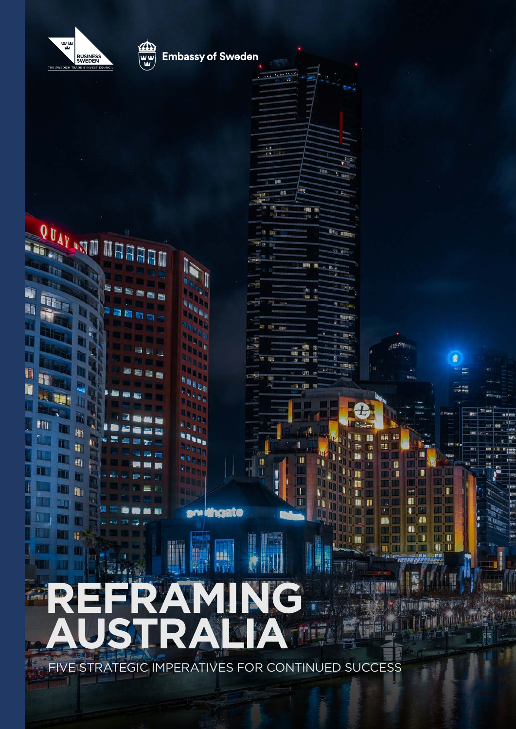

**QUAL ATT** 

 $\overline{\mathbb{R}}$ 

FSS

e

自身

医

**参加** 

**Alliance** 

in <sub>17</sub>

U)

**R** 

Ľ

m

ïī h

T

ا ا

**US 13:** 

M

<u>in I</u>

P fii

面

面

**III** or

T n

JIN

m

m m

. .

脚

背

曲

Ш

 $\mathbf{R}$ 



**Embassy of Sweden** 

**ACCOUNTS** 

et.

u

 $18$  mi

ki di La

 $\blacksquare$ 

- 1

۱

ijb

m m

iti is

ī.

 $2.11$ 

Ø

W

Π

 $\overline{\mathbf{I}}$ 

'nк

Π

NI

Du

 $\mathbf{u}_1$ 

D  $\mathbf{u}$  r :

Er Statistic

**Radian** 

п H B

n 雁 la,

D

 $\mathbf{u}$ 

M,

ű i n

騙

H

Œ

T

m

 $\blacksquare$ 

**IN** IT

报告

顧望

**THE** 

m

**TELL** 

T

画  $\blacksquare$ 

**UI** 

M

U

in.

4

T

mu **PE** 

sp

 $\blacksquare$ 

T.

O

777

長海

Œ

m

m

H

Ш

٢Ť

 $+11.77$ 

'n.

m e i

in neg

**SATISFIED** 

### 那! **REFRAMING**  赤腹関節 曜 N **MATTER RE AUSTRALIA** E

r: Nitaate

HE

FIVE STRATEGIC IMPERATIVES FOR CONTINUED SUCCESS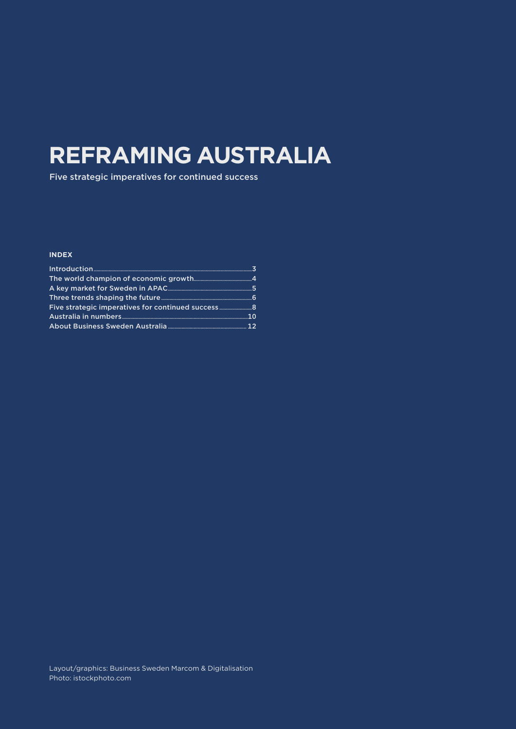### **REFRAMING AUSTRALIA**

Five strategic imperatives for continued success

#### **INDEX**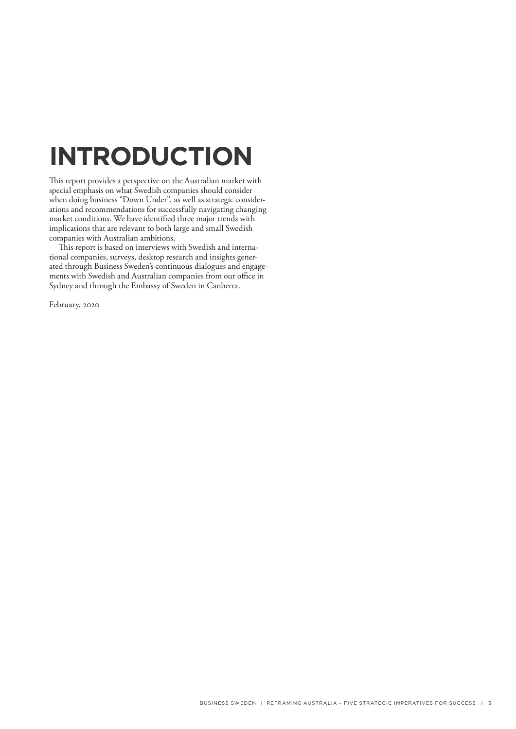# **INTRODUCTION**

This report provides a perspective on the Australian market with special emphasis on what Swedish companies should consider when doing business "Down Under", as well as strategic considerations and recommendations for successfully navigating changing market conditions. We have identified three major trends with implications that are relevant to both large and small Swedish companies with Australian ambitions.

This report is based on interviews with Swedish and international companies, surveys, desktop research and insights generated through Business Sweden's continuous dialogues and engagements with Swedish and Australian companies from our office in Sydney and through the Embassy of Sweden in Canberra.

February, 2020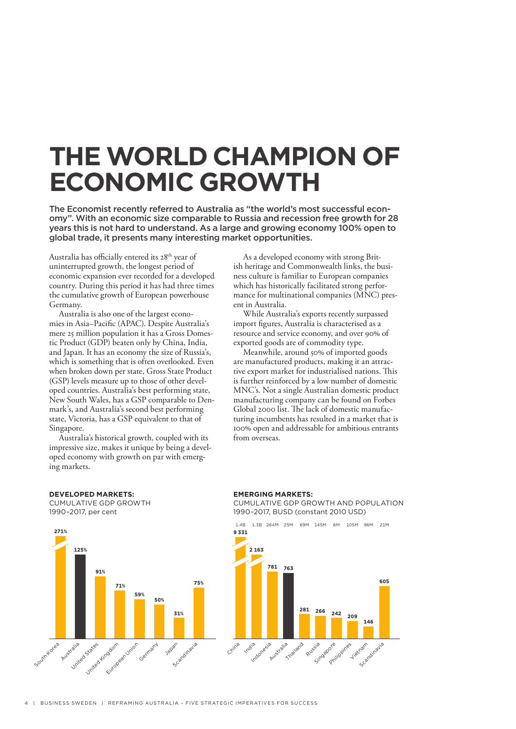### **THE WORLD CHAMPION OF ECONOMIC GROWTH**

The Economist recently referred to Australia as "the world's most successful economy". With an economic size comparable to Russia and recession free growth for 28 years this is not hard to understand. As a large and growing economy 100% open to global trade, it presents many interesting market opportunities.

Australia has officially entered its 28<sup>th</sup> year of uninterrupted growth, the longest period of economic expansion ever recorded for a developed country. During this period it has had three times the cumulative growth of European powerhouse Germany.

Australia is also one of the largest economies in Asia–Pacific (APAC). Despite Australia's mere 25 million population it has a Gross Domestic Product (GDP) beaten only by China, India, and Japan. It has an economy the size of Russia's, which is something that is often overlooked. Even when broken down per state, Gross State Product (GSP) levels measure up to those of other developed countries. Australia's best performing state, New South Wales, has a GSP comparable to Denmark's, and Australia's second best performing state, Victoria, has a GSP equivalent to that of Singapore.

Australia's historical growth, coupled with its impressive size, makes it unique by being a developed economy with growth on par with emerging markets.

As a developed economy with strong British heritage and Commonwealth links, the business culture is familiar to European companies which has historically facilitated strong performance for multinational companies (MNC) present in Australia.

While Australia's exports recently surpassed import figures, Australia is characterised as a resource and service economy, and over 90% of exported goods are of commodity type.

Meanwhile, around 50% of imported goods are manufactured products, making it an attractive export market for industrialised nations. This is further reinforced by a low number of domestic MNC's. Not a single Australian domestic product manufacturing company can be found on Forbes Global 2000 list. The lack of domestic manufacturing incumbents has resulted in a market that is 100% open and addressable for ambitious entrants from overseas.

#### **DEVELOPED MARKETS:**





#### **EMERGING MARKETS:**

CUMULATIVE GDP GROWTH AND POPULATION 1990–2017, BUSD (constant 2010 USD)

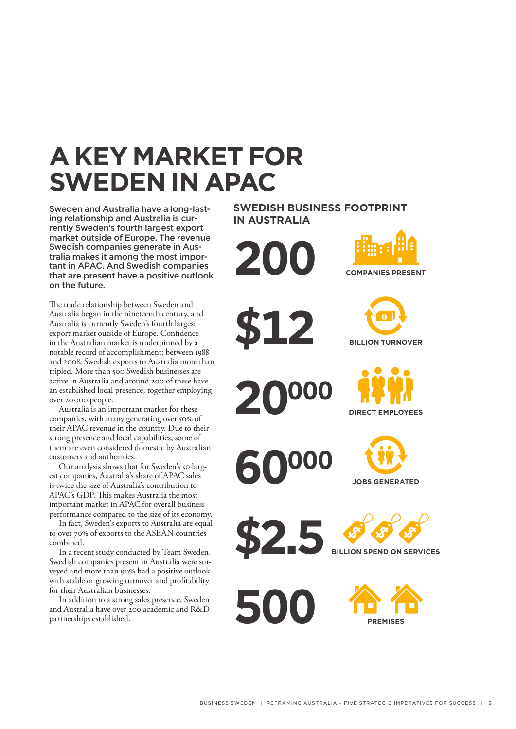# **A KEY MARKET FOR SWEDEN IN APAC**

Sweden and Australia have a long-lasting relationship and Australia is currently Sweden's fourth largest export market outside of Europe. The revenue Swedish companies generate in Australia makes it among the most important in APAC. And Swedish companies that are present have a positive outlook on the future.

The trade relationship between Sweden and Australia began in the nineteenth century, and Australia is currently Sweden's fourth largest export market outside of Europe. Confidence in the Australian market is underpinned by a notable record of accomplishment; between 1988 and 2008, Swedish exports to Australia more than tripled. More than 500 Swedish businesses are active in Australia and around 200 of these have an established local presence, together employing over 20000 people.

Australia is an important market for these companies, with many generating over 50% of their APAC revenue in the country. Due to their strong presence and local capabilities, some of them are even considered domestic by Australian customers and authorities.

Our analysis shows that for Sweden's 50 largest companies, Australia's share of APAC sales is twice the size of Australia's contribution to APAC's GDP. This makes Australia the most important market in APAC for overall business performance compared to the size of its economy.

In fact, Sweden's exports to Australia are equal to over 70% of exports to the ASEAN countries combined.

In a recent study conducted by Team Sweden, Swedish companies present in Australia were surveyed and more than 90% had a positive outlook with stable or growing turnover and profitability for their Australian businesses.

In addition to a strong sales presence, Sweden and Australia have over 200 academic and R&D partnerships established.

### **SWEDISH BUSINESS FOOTPRINT IN AUSTRALIA**

**20000**





**60000**

**500**











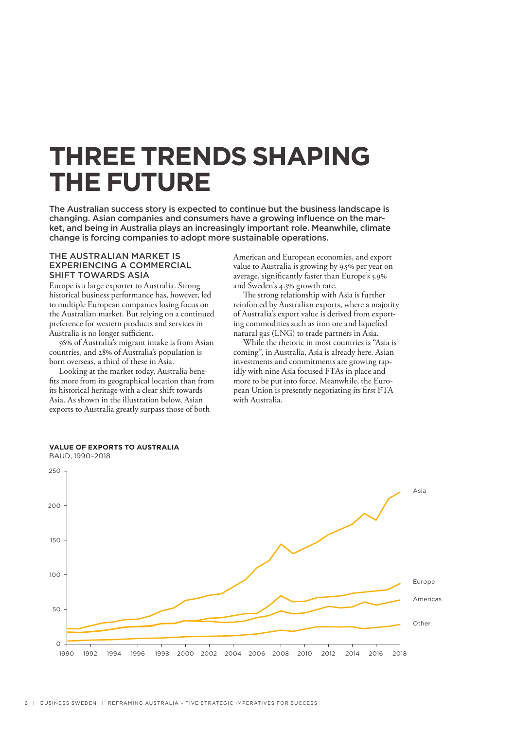### **THREE TRENDS SHAPING THE FUTURE**

The Australian success story is expected to continue but the business landscape is changing. Asian companies and consumers have a growing influence on the market, and being in Australia plays an increasingly important role. Meanwhile, climate change is forcing companies to adopt more sustainable operations.

#### THE AUSTRALIAN MARKET IS EXPERIENCING A COMMERCIAL SHIFT TOWARDS ASIA

Europe is a large exporter to Australia. Strong historical business performance has, however, led to multiple European companies losing focus on the Australian market. But relying on a continued preference for western products and services in Australia is no longer sufficient.

56% of Australia's migrant intake is from Asian countries, and 28% of Australia's population is born overseas, a third of these in Asia.

Looking at the market today, Australia benefits more from its geographical location than from its historical heritage with a clear shift towards Asia. As shown in the illustration below, Asian exports to Australia greatly surpass those of both

American and European economies, and export value to Australia is growing by 9.5% per year on average, significantly faster than Europe's 5.9% and Sweden's 4.3% growth rate.

The strong relationship with Asia is further reinforced by Australian exports, where a majority of Australia's export value is derived from exporting commodities such as iron ore and liquefied natural gas (LNG) to trade partners in Asia.

While the rhetoric in most countries is "Asia is coming", in Australia, Asia is already here. Asian investments and commitments are growing rapidly with nine Asia focused FTAs in place and more to be put into force. Meanwhile, the European Union is presently negotiating its first FTA with Australia.



#### **VALUE OF EXPORTS TO AUSTRALIA** BAUD, 1990–2018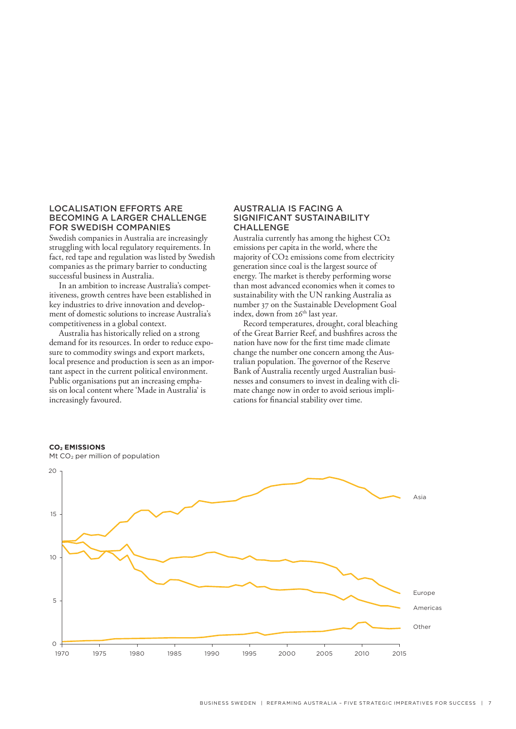#### LOCALISATION EFFORTS ARE BECOMING A LARGER CHALLENGE FOR SWEDISH COMPANIES

Swedish companies in Australia are increasingly struggling with local regulatory requirements. In fact, red tape and regulation was listed by Swedish companies as the primary barrier to conducting successful business in Australia.

In an ambition to increase Australia's competitiveness, growth centres have been established in key industries to drive innovation and development of domestic solutions to increase Australia's competitiveness in a global context.

Australia has historically relied on a strong demand for its resources. In order to reduce exposure to commodity swings and export markets, local presence and production is seen as an important aspect in the current political environment. Public organisations put an increasing emphasis on local content where 'Made in Australia' is increasingly favoured.

#### AUSTRALIA IS FACING A SIGNIFICANT SUSTAINABILITY **CHALLENGE**

Australia currently has among the highest CO2 emissions per capita in the world, where the majority of CO2 emissions come from electricity generation since coal is the largest source of energy. The market is thereby performing worse than most advanced economies when it comes to sustainability with the UN ranking Australia as number 37 on the Sustainable Development Goal index, down from 26<sup>th</sup> last year.

Record temperatures, drought, coral bleaching of the Great Barrier Reef, and bushfires across the nation have now for the first time made climate change the number one concern among the Australian population. The governor of the Reserve Bank of Australia recently urged Australian businesses and consumers to invest in dealing with climate change now in order to avoid serious implications for financial stability over time.



**CO2 EMISSIONS**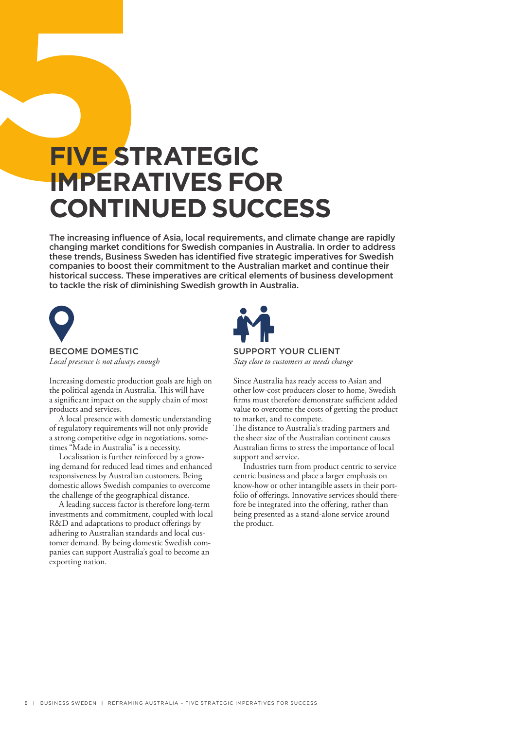# **FIVE STRATEGIC IMPERATIVES FOR CONTINUED SUCCESS**

The increasing influence of Asia, local requirements, and climate change are rapidly changing market conditions for Swedish companies in Australia. In order to address these trends, Business Sweden has identified five strategic imperatives for Swedish companies to boost their commitment to the Australian market and continue their historical success. These imperatives are critical elements of business development to tackle the risk of diminishing Swedish growth in Australia.



BECOME DOMESTIC *Local presence is not always enough*

Increasing domestic production goals are high on the political agenda in Australia. This will have a significant impact on the supply chain of most products and services.

A local presence with domestic understanding of regulatory requirements will not only provide a strong competitive edge in negotiations, sometimes "Made in Australia" is a necessity.

Localisation is further reinforced by a growing demand for reduced lead times and enhanced responsiveness by Australian customers. Being domestic allows Swedish companies to overcome the challenge of the geographical distance.

A leading success factor is therefore long-term investments and commitment, coupled with local R&D and adaptations to product offerings by adhering to Australian standards and local customer demand. By being domestic Swedish companies can support Australia's goal to become an exporting nation.



Since Australia has ready access to Asian and other low-cost producers closer to home, Swedish firms must therefore demonstrate sufficient added value to overcome the costs of getting the product to market, and to compete.

The distance to Australia's trading partners and the sheer size of the Australian continent causes Australian firms to stress the importance of local support and service.

Industries turn from product centric to service centric business and place a larger emphasis on know-how or other intangible assets in their portfolio of offerings. Innovative services should therefore be integrated into the offering, rather than being presented as a stand-alone service around the product.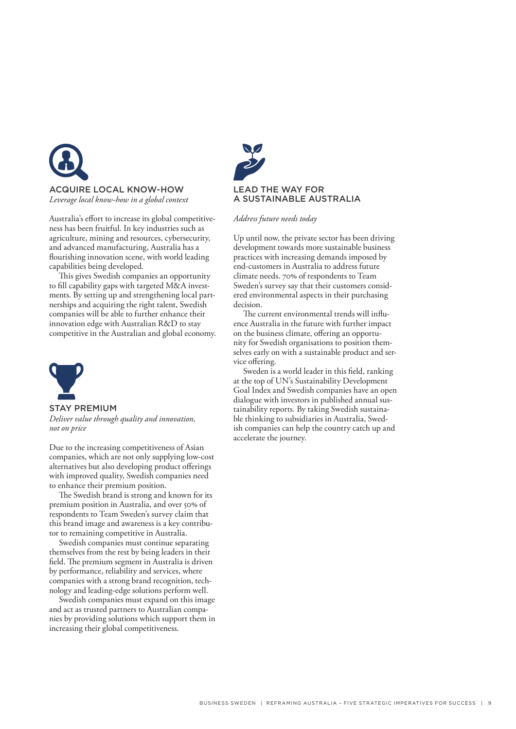

Australia's effort to increase its global competitiveness has been fruitful. In key industries such as agriculture, mining and resources, cybersecurity, and advanced manufacturing, Australia has a flourishing innovation scene, with world leading capabilities being developed.

This gives Swedish companies an opportunity to fill capability gaps with targeted M&A investments. By setting up and strengthening local partnerships and acquiring the right talent, Swedish companies will be able to further enhance their innovation edge with Australian R&D to stay competitive in the Australian and global economy.



STAY PREMIUM *Deliver value through quality and innovation, not on price*

Due to the increasing competitiveness of Asian companies, which are not only supplying low-cost alternatives but also developing product offerings with improved quality, Swedish companies need to enhance their premium position.

The Swedish brand is strong and known for its premium position in Australia, and over 50% of respondents to Team Sweden's survey claim that this brand image and awareness is a key contributor to remaining competitive in Australia.

Swedish companies must continue separating themselves from the rest by being leaders in their field. The premium segment in Australia is driven by performance, reliability and services, where companies with a strong brand recognition, technology and leading-edge solutions perform well.

Swedish companies must expand on this image and act as trusted partners to Australian companies by providing solutions which support them in increasing their global competitiveness.



#### *Address future needs today*

Up until now, the private sector has been driving development towards more sustainable business practices with increasing demands imposed by end-customers in Australia to address future climate needs. 70% of respondents to Team Sweden's survey say that their customers considered environmental aspects in their purchasing decision.

The current environmental trends will influence Australia in the future with further impact on the business climate, offering an opportunity for Swedish organisations to position themselves early on with a sustainable product and service offering.

Sweden is a world leader in this field, ranking at the top of UN's Sustainability Development Goal Index and Swedish companies have an open dialogue with investors in published annual sustainability reports. By taking Swedish sustainable thinking to subsidiaries in Australia, Swedish companies can help the country catch up and accelerate the journey.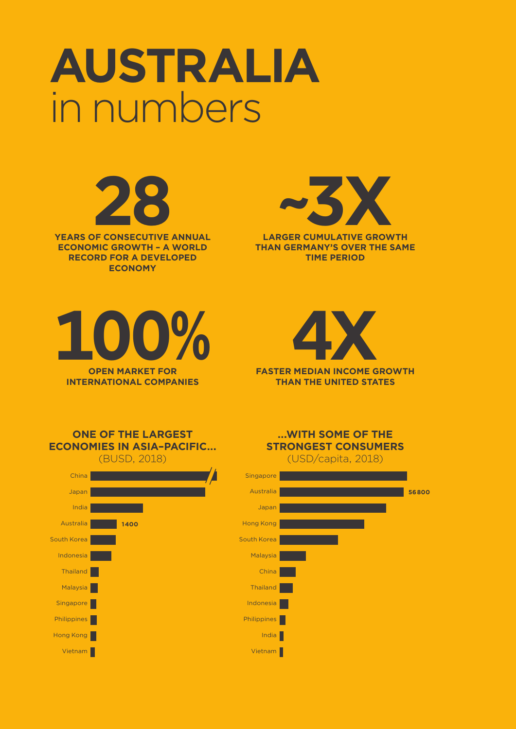# **AUSTRALIA**  in numbers



**ECONOMIC GROWTH – A WORLD RECORD FOR A DEVELOPED ECONOMY**



**THAN GERMANY'S OVER THE SAME TIME PERIOD**





**THAN THE UNITED STATES**





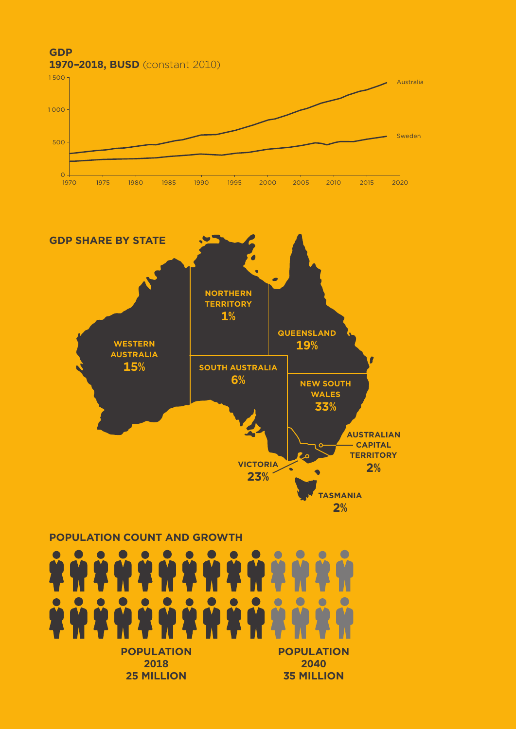



#### **POPULATION COUNT AND GROWTH**

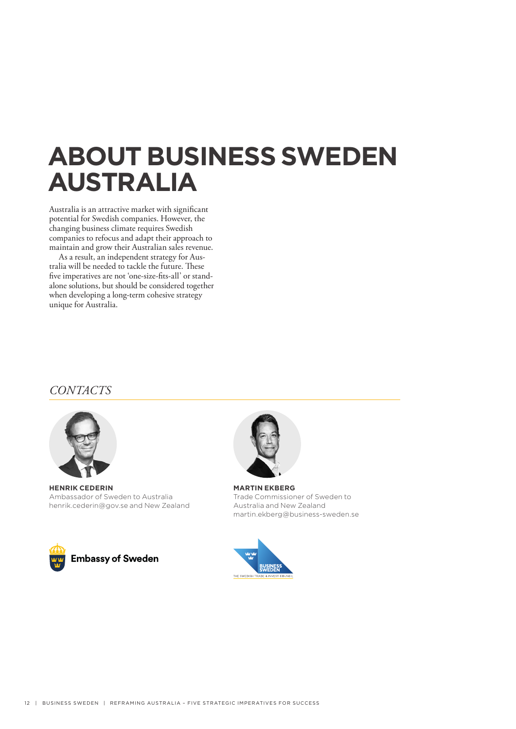# **ABOUT BUSINESS SWEDEN AUSTRALIA**

Australia is an attractive market with significant potential for Swedish companies. However, the changing business climate requires Swedish companies to refocus and adapt their approach to maintain and grow their Australian sales revenue.

As a result, an independent strategy for Australia will be needed to tackle the future. These five imperatives are not 'one-size-fits-all' or standalone solutions, but should be considered together when developing a long-term cohesive strategy unique for Australia.

### *CONTACTS*



**HENRIK CEDERIN** Ambassador of Sweden to Australia henrik.cederin@gov.se and New Zealand





**MARTIN EKBERG** Trade Commissioner of Sweden to Australia and New Zealand martin.ekberg@business-sweden.se